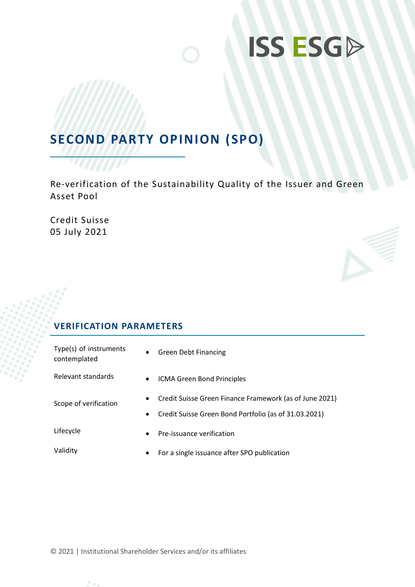

# **SECOND PARTY OPINION (SPO)**

Re-verification of the Sustainability Quality of the Issuer and Green Asset Pool

Credit Suisse 05 July 2021

# **VERIFICATION PARAMETERS**

| Type(s) of instruments<br>contemplated | $\bullet$              | <b>Green Debt Financing</b>                                                                                      |
|----------------------------------------|------------------------|------------------------------------------------------------------------------------------------------------------|
| Relevant standards                     | $\bullet$              | ICMA Green Bond Principles                                                                                       |
| Scope of verification                  | $\bullet$<br>$\bullet$ | Credit Suisse Green Finance Framework (as of June 2021)<br>Credit Suisse Green Bond Portfolio (as of 31.03.2021) |
| Lifecycle                              | $\bullet$              | Pre-issuance verification                                                                                        |
| Validity                               | $\bullet$              | For a single issuance after SPO publication                                                                      |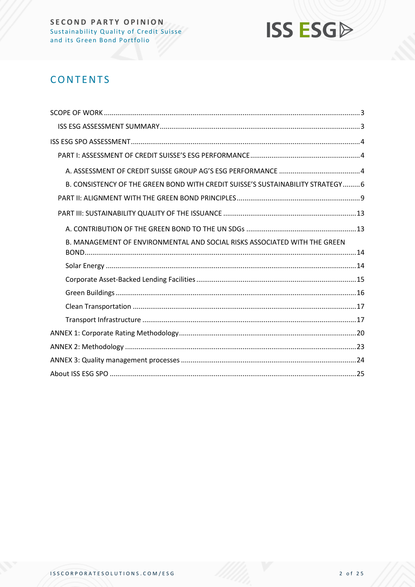

# **CONTENTS**

| B. CONSISTENCY OF THE GREEN BOND WITH CREDIT SUISSE'S SUSTAINABILITY STRATEGY 6 |
|---------------------------------------------------------------------------------|
|                                                                                 |
|                                                                                 |
|                                                                                 |
| B. MANAGEMENT OF ENVIRONMENTAL AND SOCIAL RISKS ASSOCIATED WITH THE GREEN       |
|                                                                                 |
|                                                                                 |
|                                                                                 |
|                                                                                 |
|                                                                                 |
|                                                                                 |
|                                                                                 |
|                                                                                 |
|                                                                                 |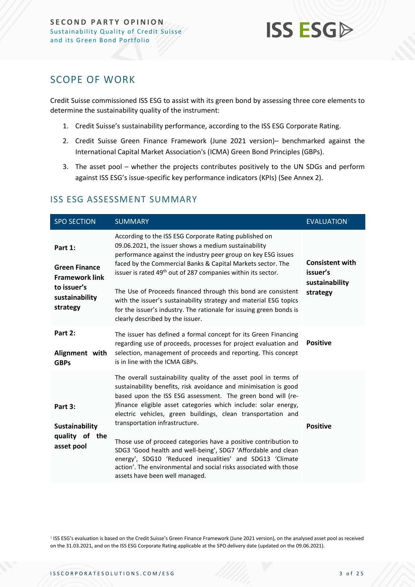

# <span id="page-2-0"></span>SCOPE OF WORK

Credit Suisse commissioned ISS ESG to assist with its green bond by assessing three core elements to determine the sustainability quality of the instrument:

- 1. Credit Suisse's sustainability performance, according to the ISS ESG Corporate Rating.
- 2. Credit Suisse Green Finance Framework (June 2021 version)– benchmarked against the International Capital Market Association's (ICMA) Green Bond Principles (GBPs).
- 3. The asset pool whether the projects contributes positively to the UN SDGs and perform against ISS ESG's issue-specific key performance indicators (KPIs) (See Annex 2).

| <b>SPO SECTION</b>                                                                                    | <b>SUMMARY</b>                                                                                                                                                                                                                                                                                                                                                                                                                                                                                                                                                                                                                                                                  | <b>EVALUATION</b>                                                |
|-------------------------------------------------------------------------------------------------------|---------------------------------------------------------------------------------------------------------------------------------------------------------------------------------------------------------------------------------------------------------------------------------------------------------------------------------------------------------------------------------------------------------------------------------------------------------------------------------------------------------------------------------------------------------------------------------------------------------------------------------------------------------------------------------|------------------------------------------------------------------|
| Part 1:<br><b>Green Finance</b><br><b>Framework link</b><br>to issuer's<br>sustainability<br>strategy | According to the ISS ESG Corporate Rating published on<br>09.06.2021, the issuer shows a medium sustainability<br>performance against the industry peer group on key ESG issues<br>faced by the Commercial Banks & Capital Markets sector. The<br>issuer is rated 49 <sup>th</sup> out of 287 companies within its sector.<br>The Use of Proceeds financed through this bond are consistent<br>with the issuer's sustainability strategy and material ESG topics<br>for the issuer's industry. The rationale for issuing green bonds is<br>clearly described by the issuer.                                                                                                     | <b>Consistent with</b><br>issuer's<br>sustainability<br>strategy |
| Part 2:<br>Alignment with<br><b>GBPs</b>                                                              | The issuer has defined a formal concept for its Green Financing<br>regarding use of proceeds, processes for project evaluation and<br>selection, management of proceeds and reporting. This concept<br>is in line with the ICMA GBPs.                                                                                                                                                                                                                                                                                                                                                                                                                                           | <b>Positive</b>                                                  |
| Part 3:<br>Sustainability<br>quality of<br>the<br>asset pool                                          | The overall sustainability quality of the asset pool in terms of<br>sustainability benefits, risk avoidance and minimisation is good<br>based upon the ISS ESG assessment. The green bond will (re-<br>)finance eligible asset categories which include: solar energy,<br>electric vehicles, green buildings, clean transportation and<br>transportation infrastructure.<br>Those use of proceed categories have a positive contribution to<br>SDG3 'Good health and well-being', SDG7 'Affordable and clean<br>energy', SDG10 'Reduced inequalities' and SDG13 'Climate<br>action'. The environmental and social risks associated with those<br>assets have been well managed. | <b>Positive</b>                                                  |

#### <span id="page-2-1"></span>ISS ESG ASSESSMENT SUMMARY

<sup>1</sup> ISS ESG's evaluation is based on the Credit Suisse's Green Finance Framework (June 2021 version), on the analysed asset pool as received on the 31.03.2021, and on the ISS ESG Corporate Rating applicable at the SPO delivery date (updated on the 09.06.2021).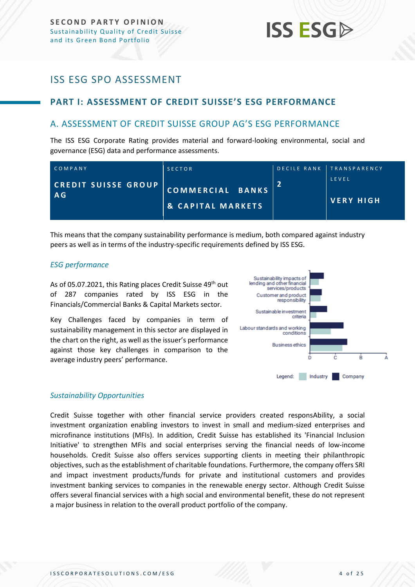# **ISS ESG**

# <span id="page-3-0"></span>ISS ESG SPO ASSESSMENT

# <span id="page-3-1"></span>**PART I: ASSESSMENT OF CREDIT SUISSE'S ESG PERFORMANCE**

# <span id="page-3-2"></span>A. ASSESSMENT OF CREDIT SUISSE GROUP AG'S ESG PERFORMANCE

The ISS ESG Corporate Rating provides material and forward-looking environmental, social and governance (ESG) data and performance assessments.

| COMPANY                    | <b>SECTOR</b>                | DECILE RANK TRANSPARENCY |
|----------------------------|------------------------------|--------------------------|
| <b>CREDIT SUISSE GROUP</b> | COMMERCIAL BANKS             | LEVEL                    |
| A <sub>G</sub>             | <b>&amp; CAPITAL MARKETS</b> | <b>IVERY HIGH</b>        |

This means that the company sustainability performance is medium, both compared against industry peers as well as in terms of the industry-specific requirements defined by ISS ESG.

#### *ESG performance*

As of 05.07.2021, this Rating places Credit Suisse 49<sup>th</sup> out of 287 companies rated by ISS ESG in the Financials/Commercial Banks & Capital Markets sector.

Key Challenges faced by companies in term of sustainability management in this sector are displayed in the chart on the right, as well as the issuer's performance against those key challenges in comparison to the average industry peers' performance.



#### *Sustainability Opportunities*

Credit Suisse together with other financial service providers created responsAbility, a social investment organization enabling investors to invest in small and medium-sized enterprises and microfinance institutions (MFIs). In addition, Credit Suisse has established its 'Financial Inclusion Initiative' to strengthen MFIs and social enterprises serving the financial needs of low-income households. Credit Suisse also offers services supporting clients in meeting their philanthropic objectives, such as the establishment of charitable foundations. Furthermore, the company offers SRI and impact investment products/funds for private and institutional customers and provides investment banking services to companies in the renewable energy sector. Although Credit Suisse offers several financial services with a high social and environmental benefit, these do not represent a major business in relation to the overall product portfolio of the company.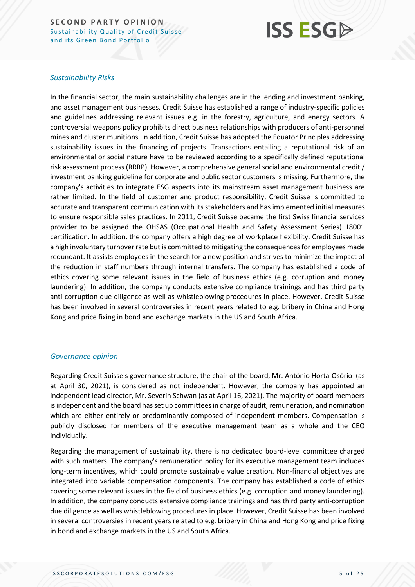# **ISS ESG**

#### *Sustainability Risks*

In the financial sector, the main sustainability challenges are in the lending and investment banking, and asset management businesses. Credit Suisse has established a range of industry-specific policies and guidelines addressing relevant issues e.g. in the forestry, agriculture, and energy sectors. A controversial weapons policy prohibits direct business relationships with producers of anti-personnel mines and cluster munitions. In addition, Credit Suisse has adopted the Equator Principles addressing sustainability issues in the financing of projects. Transactions entailing a reputational risk of an environmental or social nature have to be reviewed according to a specifically defined reputational risk assessment process (RRRP). However, a comprehensive general social and environmental credit / investment banking guideline for corporate and public sector customers is missing. Furthermore, the company's activities to integrate ESG aspects into its mainstream asset management business are rather limited. In the field of customer and product responsibility, Credit Suisse is committed to accurate and transparent communication with its stakeholders and has implemented initial measures to ensure responsible sales practices. In 2011, Credit Suisse became the first Swiss financial services provider to be assigned the OHSAS (Occupational Health and Safety Assessment Series) 18001 certification. In addition, the company offers a high degree of workplace flexibility. Credit Suisse has a high involuntary turnover rate but is committed to mitigating the consequences for employees made redundant. It assists employees in the search for a new position and strives to minimize the impact of the reduction in staff numbers through internal transfers. The company has established a code of ethics covering some relevant issues in the field of business ethics (e.g. corruption and money laundering). In addition, the company conducts extensive compliance trainings and has third party anti-corruption due diligence as well as whistleblowing procedures in place. However, Credit Suisse has been involved in several controversies in recent years related to e.g. bribery in China and Hong Kong and price fixing in bond and exchange markets in the US and South Africa.

#### *Governance opinion*

Regarding Credit Suisse's governance structure, the chair of the board, Mr. António Horta-Osório (as at April 30, 2021), is considered as not independent. However, the company has appointed an independent lead director, Mr. Severin Schwan (as at April 16, 2021). The majority of board members is independent and the board has set up committees in charge of audit, remuneration, and nomination which are either entirely or predominantly composed of independent members. Compensation is publicly disclosed for members of the executive management team as a whole and the CEO individually.

Regarding the management of sustainability, there is no dedicated board-level committee charged with such matters. The company's remuneration policy for its executive management team includes long-term incentives, which could promote sustainable value creation. Non-financial objectives are integrated into variable compensation components. The company has established a code of ethics covering some relevant issues in the field of business ethics (e.g. corruption and money laundering). In addition, the company conducts extensive compliance trainings and has third party anti-corruption due diligence as well as whistleblowing procedures in place. However, Credit Suisse has been involved in several controversies in recent years related to e.g. bribery in China and Hong Kong and price fixing in bond and exchange markets in the US and South Africa.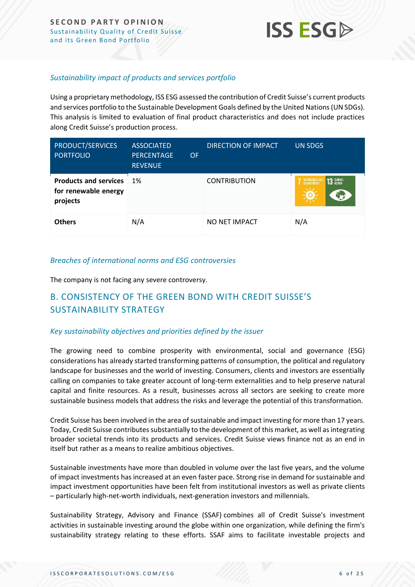

#### *Sustainability impact of products and services portfolio*

Using a proprietary methodology, ISS ESG assessed the contribution of Credit Suisse's current products and services portfolio to the Sustainable Development Goals defined by the United Nations (UN SDGs). This analysis is limited to evaluation of final product characteristics and does not include practices along Credit Suisse's production process.

| PRODUCT/SERVICES<br><b>PORTFOLIO</b>                             | <b>ASSOCIATED</b><br><b>PERCENTAGE</b><br><b>OF</b><br><b>REVENUE</b> | DIRECTION OF IMPACT | <b>UN SDGS</b>                               |
|------------------------------------------------------------------|-----------------------------------------------------------------------|---------------------|----------------------------------------------|
| <b>Products and services</b><br>for renewable energy<br>projects | 1%                                                                    | <b>CONTRIBUTION</b> | <b>13 GLIMATE</b><br>AFFORDABLE AN<br>کولا آ |
| <b>Others</b>                                                    | N/A                                                                   | NO NET IMPACT       | N/A                                          |

#### *Breaches of international norms and ESG controversies*

The company is not facing any severe controversy.

# <span id="page-5-0"></span>B. CONSISTENCY OF THE GREEN BOND WITH CREDIT SUISSE'S SUSTAINABILITY STRATEGY

#### *Key sustainability objectives and priorities defined by the issuer*

The growing need to combine prosperity with environmental, social and governance (ESG) considerations has already started transforming patterns of consumption, the political and regulatory landscape for businesses and the world of investing. Consumers, clients and investors are essentially calling on companies to take greater account of long-term externalities and to help preserve natural capital and finite resources. As a result, businesses across all sectors are seeking to create more sustainable business models that address the risks and leverage the potential of this transformation.

Credit Suisse has been involved in the area of sustainable and impact investing for more than 17 years. Today, Credit Suisse contributes substantially to the development of this market, as well as integrating broader societal trends into its products and services. Credit Suisse views finance not as an end in itself but rather as a means to realize ambitious objectives.

Sustainable investments have more than doubled in volume over the last five years, and the volume of impact investments has increased at an even faster pace. Strong rise in demand for sustainable and impact investment opportunities have been felt from institutional investors as well as private clients – particularly high-net-worth individuals, next-generation investors and millennials.

Sustainability Strategy, Advisory and Finance (SSAF) combines all of Credit Suisse's investment activities in sustainable investing around the globe within one organization, while defining the firm's sustainability strategy relating to these efforts. SSAF aims to facilitate investable projects and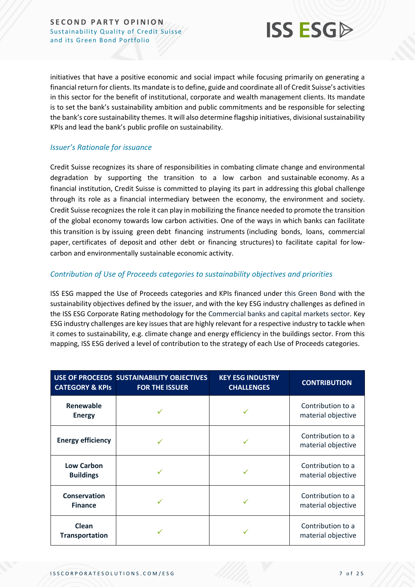

initiatives that have a positive economic and social impact while focusing primarily on generating a financial return for clients. Its mandate is to define, guide and coordinate all of Credit Suisse's activities in this sector for the benefit of institutional, corporate and wealth management clients. Its mandate is to set the bank's sustainability ambition and public commitments and be responsible for selecting the bank's core sustainability themes. It will also determine flagship initiatives, divisional sustainability KPIs and lead the bank's public profile on sustainability.

#### *Issuer's Rationale for issuance*

Credit Suisse recognizes its share of responsibilities in combating climate change and environmental degradation by supporting the transition to a low carbon and sustainable economy. As a financial institution, Credit Suisse is committed to playing its part in addressing this global challenge through its role as a financial intermediary between the economy, the environment and society. Credit Suisse recognizesthe role it can play in mobilizing the finance needed to promote the transition of the global economy towards low carbon activities. One of the ways in which banks can facilitate this transition is by issuing green debt financing instruments (including bonds, loans, commercial paper, certificates of deposit and other debt or financing structures) to facilitate capital for lowcarbon and environmentally sustainable economic activity.

#### *Contribution of Use of Proceeds categories to sustainability objectives and priorities*

ISS ESG mapped the Use of Proceeds categories and KPIs financed under this Green Bond with the sustainability objectives defined by the issuer, and with the key ESG industry challenges as defined in the ISS ESG Corporate Rating methodology for the Commercial banks and capital markets sector. Key ESG industry challenges are key issues that are highly relevant for a respective industry to tackle when it comes to sustainability, e.g. climate change and energy efficiency in the buildings sector. From this mapping, ISS ESG derived a level of contribution to the strategy of each Use of Proceeds categories.

| <b>CATEGORY &amp; KPIS</b>            | USE OF PROCEEDS SUSTAINABILITY OBJECTIVES<br><b>FOR THE ISSUER</b> | <b>KEY ESG INDUSTRY</b><br><b>CHALLENGES</b> | <b>CONTRIBUTION</b>                     |
|---------------------------------------|--------------------------------------------------------------------|----------------------------------------------|-----------------------------------------|
| Renewable<br><b>Energy</b>            |                                                                    |                                              | Contribution to a<br>material objective |
| <b>Energy efficiency</b>              |                                                                    |                                              | Contribution to a<br>material objective |
| <b>Low Carbon</b><br><b>Buildings</b> |                                                                    |                                              | Contribution to a<br>material objective |
| <b>Conservation</b><br><b>Finance</b> |                                                                    |                                              | Contribution to a<br>material objective |
| Clean<br><b>Transportation</b>        |                                                                    |                                              | Contribution to a<br>material objective |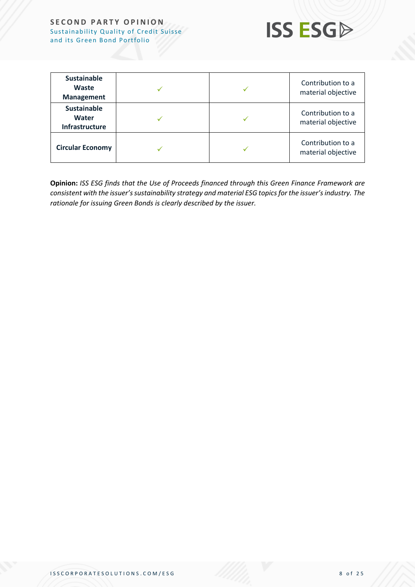

| <b>Sustainable</b><br>Waste<br><b>Management</b> |  | Contribution to a<br>material objective |
|--------------------------------------------------|--|-----------------------------------------|
| <b>Sustainable</b><br>Water<br>Infrastructure    |  | Contribution to a<br>material objective |
| <b>Circular Economy</b>                          |  | Contribution to a<br>material objective |

**Opinion:** *ISS ESG finds that the Use of Proceeds financed through this Green Finance Framework are consistent with the issuer's sustainability strategy and material ESG topics for the issuer's industry. The rationale for issuing Green Bonds is clearly described by the issuer.*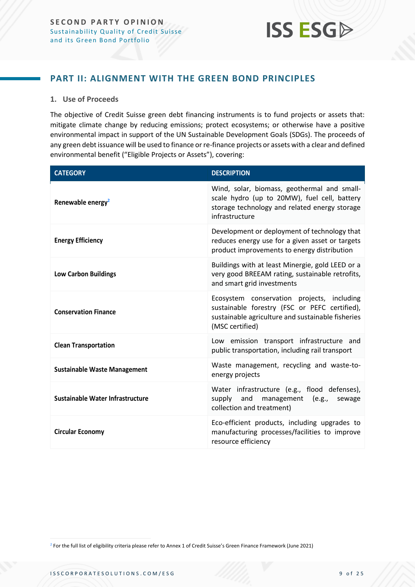

### <span id="page-8-0"></span>**PART II: ALIGNMENT WITH THE GREEN BOND PRINCIPLES**

#### **1. Use of Proceeds**

The objective of Credit Suisse green debt financing instruments is to fund projects or assets that: mitigate climate change by reducing emissions; protect ecosystems; or otherwise have a positive environmental impact in support of the UN Sustainable Development Goals (SDGs). The proceeds of any green debt issuance will be used to finance or re-finance projects or assets with a clear and defined environmental benefit ("Eligible Projects or Assets"), covering:

| <b>CATEGORY</b>                     | <b>DESCRIPTION</b>                                                                                                                                                  |
|-------------------------------------|---------------------------------------------------------------------------------------------------------------------------------------------------------------------|
| Renewable energy <sup>2</sup>       | Wind, solar, biomass, geothermal and small-<br>scale hydro (up to 20MW), fuel cell, battery<br>storage technology and related energy storage<br>infrastructure      |
| <b>Energy Efficiency</b>            | Development or deployment of technology that<br>reduces energy use for a given asset or targets<br>product improvements to energy distribution                      |
| <b>Low Carbon Buildings</b>         | Buildings with at least Minergie, gold LEED or a<br>very good BREEAM rating, sustainable retrofits,<br>and smart grid investments                                   |
| <b>Conservation Finance</b>         | Ecosystem conservation projects, including<br>sustainable forestry (FSC or PEFC certified),<br>sustainable agriculture and sustainable fisheries<br>(MSC certified) |
| <b>Clean Transportation</b>         | Low emission transport infrastructure and<br>public transportation, including rail transport                                                                        |
| <b>Sustainable Waste Management</b> | Waste management, recycling and waste-to-<br>energy projects                                                                                                        |
| Sustainable Water Infrastructure    | Water infrastructure (e.g., flood defenses),<br>and management (e.g.,<br>supply<br>sewage<br>collection and treatment)                                              |
| <b>Circular Economy</b>             | Eco-efficient products, including upgrades to<br>manufacturing processes/facilities to improve<br>resource efficiency                                               |

<sup>2</sup> For the full list of eligibility criteria please refer to Annex 1 of Credit Suisse's Green Finance Framework (June 2021)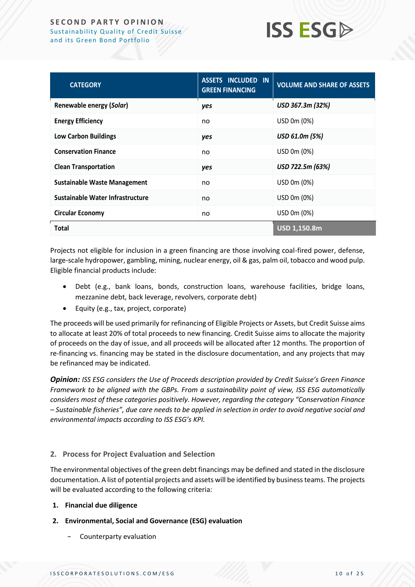

| <b>CATEGORY</b>                     | <b>ASSETS INCLUDED IN</b><br><b>GREEN FINANCING</b> | <b>VOLUME AND SHARE OF ASSETS</b> |
|-------------------------------------|-----------------------------------------------------|-----------------------------------|
| Renewable energy (Solar)            | yes                                                 | USD 367.3m (32%)                  |
| <b>Energy Efficiency</b>            | no                                                  | USD 0m (0%)                       |
| <b>Low Carbon Buildings</b>         | yes                                                 | USD 61.0m (5%)                    |
| <b>Conservation Finance</b>         | no                                                  | USD 0m (0%)                       |
| <b>Clean Transportation</b>         | yes                                                 | USD 722.5m (63%)                  |
| <b>Sustainable Waste Management</b> | no                                                  | USD 0m (0%)                       |
| Sustainable Water Infrastructure    | no                                                  | USD 0m (0%)                       |
| <b>Circular Economy</b>             | no                                                  | USD 0m (0%)                       |
| <b>Total</b>                        |                                                     | USD 1,150.8m                      |

Projects not eligible for inclusion in a green financing are those involving coal-fired power, defense, large-scale hydropower, gambling, mining, nuclear energy, oil & gas, palm oil, tobacco and wood pulp. Eligible financial products include:

- Debt (e.g., bank loans, bonds, construction loans, warehouse facilities, bridge loans, mezzanine debt, back leverage, revolvers, corporate debt)
- Equity (e.g., tax, project, corporate)

The proceeds will be used primarily for refinancing of Eligible Projects or Assets, but Credit Suisse aims to allocate at least 20% of total proceeds to new financing. Credit Suisse aims to allocate the majority of proceeds on the day of issue, and all proceeds will be allocated after 12 months. The proportion of re-financing vs. financing may be stated in the disclosure documentation, and any projects that may be refinanced may be indicated.

*Opinion: ISS ESG considers the Use of Proceeds description provided by Credit Suisse's Green Finance Framework to be aligned with the GBPs. From a sustainability point of view, ISS ESG automatically considers most of these categories positively. However, regarding the category "Conservation Finance – Sustainable fisheries", due care needs to be applied in selection in order to avoid negative social and environmental impacts according to ISS ESG's KPI.* 

#### **2. Process for Project Evaluation and Selection**

The environmental objectives of the green debt financings may be defined and stated in the disclosure documentation. A list of potential projects and assets will be identified by business teams. The projects will be evaluated according to the following criteria:

- **1. Financial due diligence**
- **2. Environmental, Social and Governance (ESG) evaluation** 
	- − Counterparty evaluation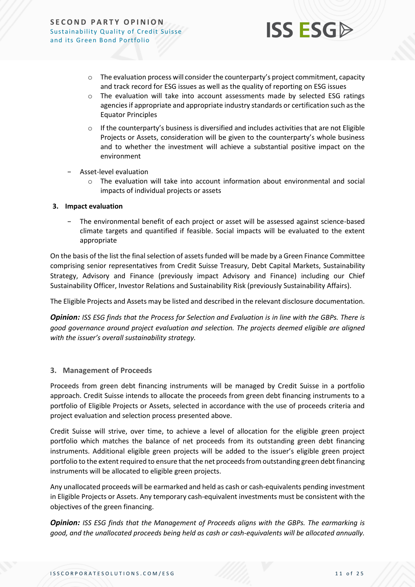

- $\circ$  The evaluation process will consider the counterparty's project commitment, capacity and track record for ESG issues as well as the quality of reporting on ESG issues
- $\circ$  The evaluation will take into account assessments made by selected ESG ratings agencies if appropriate and appropriate industry standards or certification such as the Equator Principles
- $\circ$  If the counterparty's business is diversified and includes activities that are not Eligible Projects or Assets, consideration will be given to the counterparty's whole business and to whether the investment will achieve a substantial positive impact on the environment
- − Asset-level evaluation
	- $\circ$  The evaluation will take into account information about environmental and social impacts of individual projects or assets

#### **3. Impact evaluation**

The environmental benefit of each project or asset will be assessed against science-based climate targets and quantified if feasible. Social impacts will be evaluated to the extent appropriate

On the basis of the list the final selection of assets funded will be made by a Green Finance Committee comprising senior representatives from Credit Suisse Treasury, Debt Capital Markets, Sustainability Strategy, Advisory and Finance (previously impact Advisory and Finance) including our Chief Sustainability Officer, Investor Relations and Sustainability Risk (previously Sustainability Affairs).

The Eligible Projects and Assets may be listed and described in the relevant disclosure documentation.

*Opinion: ISS ESG finds that the Process for Selection and Evaluation is in line with the GBPs. There is good governance around project evaluation and selection. The projects deemed eligible are aligned with the issuer's overall sustainability strategy.*

#### **3. Management of Proceeds**

Proceeds from green debt financing instruments will be managed by Credit Suisse in a portfolio approach. Credit Suisse intends to allocate the proceeds from green debt financing instruments to a portfolio of Eligible Projects or Assets, selected in accordance with the use of proceeds criteria and project evaluation and selection process presented above.

Credit Suisse will strive, over time, to achieve a level of allocation for the eligible green project portfolio which matches the balance of net proceeds from its outstanding green debt financing instruments. Additional eligible green projects will be added to the issuer's eligible green project portfolio to the extent required to ensure that the net proceeds from outstanding green debt financing instruments will be allocated to eligible green projects.

Any unallocated proceeds will be earmarked and held as cash or cash-equivalents pending investment in Eligible Projects or Assets. Any temporary cash-equivalent investments must be consistent with the objectives of the green financing.

*Opinion: ISS ESG finds that the Management of Proceeds aligns with the GBPs. The earmarking is good, and the unallocated proceeds being held as cash or cash-equivalents will be allocated annually.*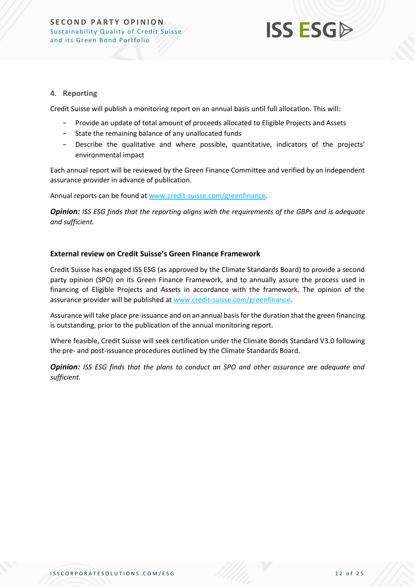

#### **4. Reporting**

Credit Suisse will publish a monitoring report on an annual basis until full allocation. This will:

- − Provide an update of total amount of proceeds allocated to Eligible Projects and Assets
- − State the remaining balance of any unallocated funds
- − Describe the qualitative and where possible, quantitative, indicators of the projects' environmental impact

Each annual report will be reviewed by the Green Finance Committee and verified by an independent assurance provider in advance of publication.

Annual reports can be found a[t www.credit-suisse.com/greenfinance.](http://www.credit-suisse.com/greenfinance)

*Opinion: ISS ESG finds that the reporting aligns with the requirements of the GBPs and is adequate and sufficient.*

#### **External review on Credit Suisse's Green Finance Framework**

Credit Suisse has engaged ISS ESG (as approved by the Climate Standards Board) to provide a second party opinion (SPO) on its Green Finance Framework, and to annually assure the process used in financing of Eligible Projects and Assets in accordance with the framework. The opinion of the assurance provider will be published at [www.credit-suisse.com/greenfinance.](http://www.credit-suisse.com/greenfinance)

Assurance will take place pre-issuance and on an annual basis for the duration that the green financing is outstanding, prior to the publication of the annual monitoring report.

Where feasible, Credit Suisse will seek certification under the Climate Bonds Standard V3.0 following the pre- and post-issuance procedures outlined by the Climate Standards Board.

*Opinion: ISS ESG finds that the plans to conduct an SPO and other assurance are adequate and sufficient.*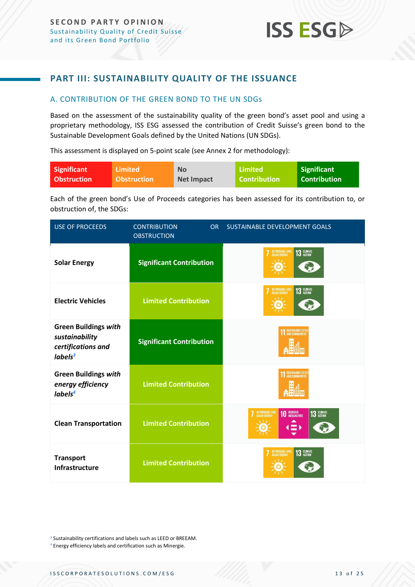

# <span id="page-12-0"></span>**PART III: SUSTAINABILITY QUALITY OF THE ISSUANCE**

#### <span id="page-12-1"></span>A. CONTRIBUTION OF THE GREEN BOND TO THE UN SDGs

Based on the assessment of the sustainability quality of the green bond's asset pool and using a proprietary methodology, ISS ESG assessed the contribution of Credit Suisse's green bond to the Sustainable Development Goals defined by the United Nations (UN SDGs).

This assessment is displayed on 5-point scale (see Annex 2 for methodology):

| Significant        | <b>Limited</b>     | <b>No</b>         | Limited        | Significant         |
|--------------------|--------------------|-------------------|----------------|---------------------|
| <b>Obstruction</b> | <b>Obstruction</b> | <b>Net Impact</b> | l Contribution | <b>Contribution</b> |

Each of the green bond's Use of Proceeds categories has been assessed for its contribution to, or obstruction of, the SDGs:

| <b>USE OF PROCEEDS</b>                                                                     | <b>CONTRIBUTION</b><br><b>OR</b><br><b>OBSTRUCTION</b> | SUSTAINABLE DEVELOPMENT GOALS                     |
|--------------------------------------------------------------------------------------------|--------------------------------------------------------|---------------------------------------------------|
| <b>Solar Energy</b>                                                                        | <b>Significant Contribution</b>                        | AFFORDABLE AND<br>CLEAN ENERGY<br>13 CLIMATE      |
| <b>Electric Vehicles</b>                                                                   | <b>Limited Contribution</b>                            | AFFORDABLE AND<br>CLEAN ENERGY<br>13 CLIMATE      |
| <b>Green Buildings with</b><br>sustainability<br>certifications and<br>labels <sup>3</sup> | <b>Significant Contribution</b>                        | SUSTAINABLE CITIE!<br>AND COMMUNITIES             |
| <b>Green Buildings with</b><br>energy efficiency<br>labels <sup>4</sup>                    | <b>Limited Contribution</b>                            | SUSTAINABLE CITIES                                |
| <b>Clean Transportation</b>                                                                | <b>Limited Contribution</b>                            | AFFORDABLE AND<br>13 CLIMATE<br><b>10 REDUCED</b> |
| <b>Transport</b><br>Infrastructure                                                         | <b>Limited Contribution</b>                            | AFFORDABLE AND<br>CLEAN ENERGY<br>13 CLIMATE      |

<sup>&</sup>lt;sup>3</sup> Sustainability certifications and labels such as LEED or BREEAM.

<sup>4</sup> Energy efficiency labels and certification such as Minergie.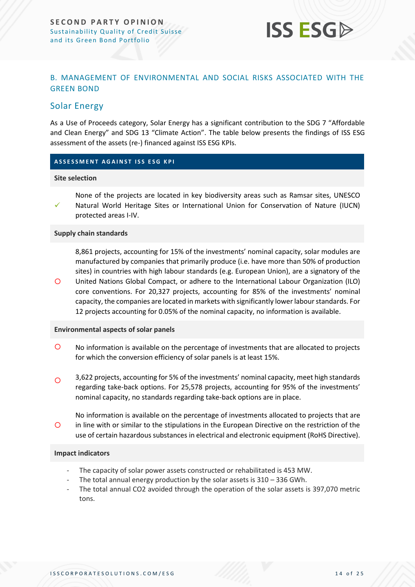

#### <span id="page-13-0"></span>B. MANAGEMENT OF ENVIRONMENTAL AND SOCIAL RISKS ASSOCIATED WITH THE GREEN BOND

### <span id="page-13-1"></span>Solar Energy

As a Use of Proceeds category, Solar Energy has a significant contribution to the SDG 7 "Affordable and Clean Energy" and SDG 13 "Climate Action". The table below presents the findings of ISS ESG assessment of the assets (re-) financed against ISS ESG KPIs.

#### **A S S E S S M E N T A G A I N S T I S S E S G K P I**

#### **Site selection**

 $\circ$ 

✓ None of the projects are located in key biodiversity areas such as Ramsar sites, UNESCO Natural World Heritage Sites or International Union for Conservation of Nature (IUCN) protected areas I-IV.

#### **Supply chain standards**

8,861 projects, accounting for 15% of the investments' nominal capacity, solar modules are manufactured by companies that primarily produce (i.e. have more than 50% of production sites) in countries with high labour standards (e.g. European Union), are a signatory of the United Nations Global Compact, or adhere to the International Labour Organization (ILO) core conventions. For 20,327 projects, accounting for 85% of the investments' nominal capacity, the companies are located in markets with significantly lower labour standards. For 12 projects accounting for 0.05% of the nominal capacity, no information is available.

#### **Environmental aspects of solar panels**

- No information is available on the percentage of investments that are allocated to projects for which the conversion efficiency of solar panels is at least 15%.
- 3,622 projects, accounting for 5% of the investments' nominal capacity, meet high standards regarding take-back options. For 25,578 projects, accounting for 95% of the investments' nominal capacity, no standards regarding take-back options are in place.  $\Omega$
- $\Omega$ No information is available on the percentage of investments allocated to projects that are in line with or similar to the stipulations in the European Directive on the restriction of the use of certain hazardous substances in electrical and electronic equipment (RoHS Directive).

#### **Impact indicators**

- The capacity of solar power assets constructed or rehabilitated is 453 MW.
- The total annual energy production by the solar assets is  $310 336$  GWh.
- The total annual CO2 avoided through the operation of the solar assets is 397,070 metric tons.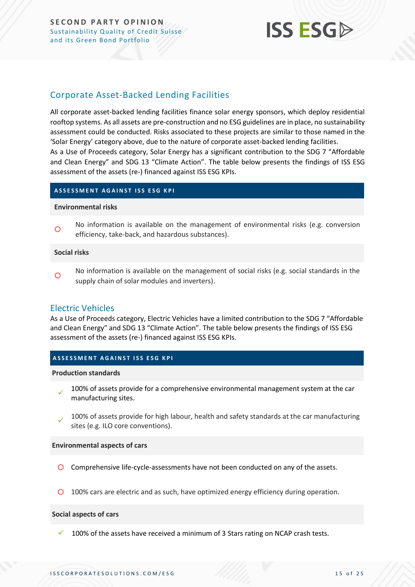# **ISS ESG**

# <span id="page-14-0"></span>Corporate Asset-Backed Lending Facilities

All corporate asset-backed lending facilities finance solar energy sponsors, which deploy residential rooftop systems. As all assets are pre-construction and no ESG guidelines are in place, no sustainability assessment could be conducted. Risks associated to these projects are similar to those named in the 'Solar Energy' category above, due to the nature of corporate asset-backed lending facilities. As a Use of Proceeds category, Solar Energy has a significant contribution to the SDG 7 "Affordable

and Clean Energy" and SDG 13 "Climate Action". The table below presents the findings of ISS ESG assessment of the assets (re-) financed against ISS ESG KPIs.

#### **ASSESSMENT AGAINST ISS ESG KPI**

#### **Environmental risks**

 $\circ$ No information is available on the management of environmental risks (e.g. conversion efficiency, take-back, and hazardous substances).

#### **Social risks**

 $\circ$ No information is available on the management of social risks (e.g. social standards in the supply chain of solar modules and inverters).

#### Electric Vehicles

As a Use of Proceeds category, Electric Vehicles have a limited contribution to the SDG 7 "Affordable and Clean Energy" and SDG 13 "Climate Action". The table below presents the findings of ISS ESG assessment of the assets (re-) financed against ISS ESG KPIs.

#### **ASSESSMENT AGAINST ISS ESG KPI**

#### **Production standards**

- ✓ 100% of assets provide for a comprehensive environmental management system at the car manufacturing sites.
- ✓ 100% of assets provide for high labour, health and safety standards at the car manufacturing sites (e.g. ILO core conventions).

#### **Environmental aspects of cars**

- Comprehensive life-cycle-assessments have not been conducted on any of the assets.
- 100% cars are electric and as such, have optimized energy efficiency during operation.

#### **Social aspects of cars**

100% of the assets have received a minimum of 3 Stars rating on NCAP crash tests.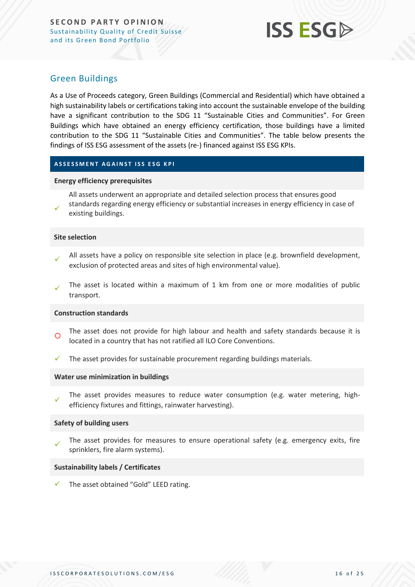

### <span id="page-15-0"></span>Green Buildings

As a Use of Proceeds category, Green Buildings (Commercial and Residential) which have obtained a high sustainability labels or certifications taking into account the sustainable envelope of the building have a significant contribution to the SDG 11 "Sustainable Cities and Communities". For Green Buildings which have obtained an energy efficiency certification, those buildings have a limited contribution to the SDG 11 "Sustainable Cities and Communities". The table below presents the findings of ISS ESG assessment of the assets (re-) financed against ISS ESG KPIs.

#### **ASSESSMENT AGAINST ISS ESG KPI**

#### **Energy efficiency prerequisites**

- ✓ All assets underwent an appropriate and detailed selection process that ensures good standards regarding energy efficiency or substantial increases in energy efficiency in case of
- existing buildings.

#### **Site selection**

- ✓ All assets have a policy on responsible site selection in place (e.g. brownfield development, exclusion of protected areas and sites of high environmental value).
- The asset is located within a maximum of 1 km from one or more modalities of public transport. ✓

#### **Construction standards**

- $\circ$ The asset does not provide for high labour and health and safety standards because it is located in a country that has not ratified all ILO Core Conventions.
- The asset provides for sustainable procurement regarding buildings materials.

#### **Water use minimization in buildings**

✓ The asset provides measures to reduce water consumption (e.g. water metering, highefficiency fixtures and fittings, rainwater harvesting).

#### **Safety of building users**

✓ The asset provides for measures to ensure operational safety (e.g. emergency exits, fire sprinklers, fire alarm systems).

#### **Sustainability labels / Certificates**

The asset obtained "Gold" LEED rating.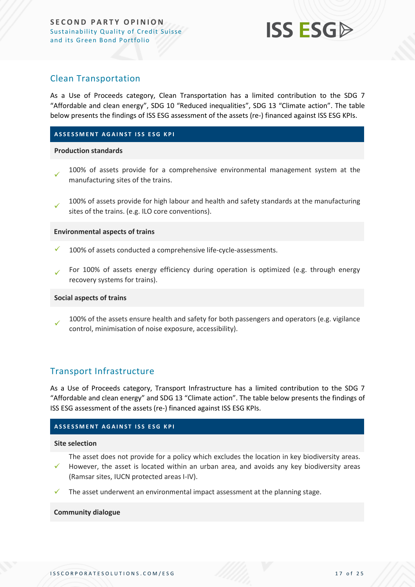

### <span id="page-16-0"></span>Clean Transportation

As a Use of Proceeds category, Clean Transportation has a limited contribution to the SDG 7 "Affordable and clean energy", SDG 10 "Reduced inequalities", SDG 13 "Climate action". The table below presents the findings of ISS ESG assessment of the assets (re-) financed against ISS ESG KPIs.

#### **ASSESSMENT AGAINST ISS ESG KPI**

#### **Production standards**

- ✓ 100% of assets provide for a comprehensive environmental management system at the manufacturing sites of the trains.
- ✓ 100% of assets provide for high labour and health and safety standards at the manufacturing sites of the trains. (e.g. ILO core conventions).

#### **Environmental aspects of trains**

- 100% of assets conducted a comprehensive life-cycle-assessments.
- For 100% of assets energy efficiency during operation is optimized (e.g. through energy recovery systems for trains). ✓

#### **Social aspects of trains**

✓ 100% of the assets ensure health and safety for both passengers and operators (e.g. vigilance control, minimisation of noise exposure, accessibility).

#### <span id="page-16-1"></span>Transport Infrastructure

As a Use of Proceeds category, Transport Infrastructure has a limited contribution to the SDG 7 "Affordable and clean energy" and SDG 13 "Climate action". The table below presents the findings of ISS ESG assessment of the assets (re-) financed against ISS ESG KPIs.

#### **ASSESSMENT AGAINST ISS ESG KPI**

#### **Site selection**

The asset does not provide for a policy which excludes the location in key biodiversity areas.

- ✓ However, the asset is located within an urban area, and avoids any key biodiversity areas (Ramsar sites, IUCN protected areas I-IV).
- The asset underwent an environmental impact assessment at the planning stage.

#### **Community dialogue**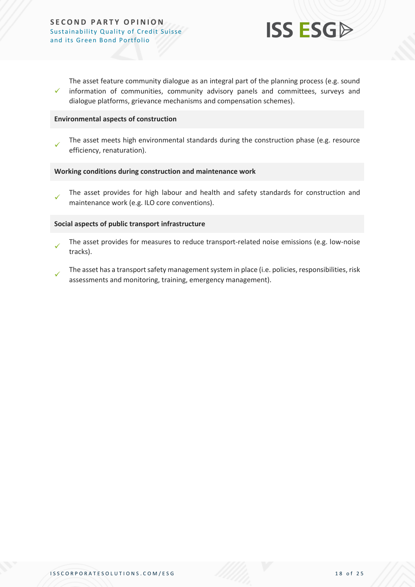

✓ The asset feature community dialogue as an integral part of the planning process (e.g. sound information of communities, community advisory panels and committees, surveys and dialogue platforms, grievance mechanisms and compensation schemes).

#### **Environmental aspects of construction**

✓ The asset meets high environmental standards during the construction phase (e.g. resource efficiency, renaturation).

#### **Working conditions during construction and maintenance work**

✓ The asset provides for high labour and health and safety standards for construction and maintenance work (e.g. ILO core conventions).

#### **Social aspects of public transport infrastructure**

- ✓ The asset provides for measures to reduce transport-related noise emissions (e.g. low-noise tracks).
- ✓ The asset has a transport safety management system in place (i.e. policies, responsibilities, risk assessments and monitoring, training, emergency management).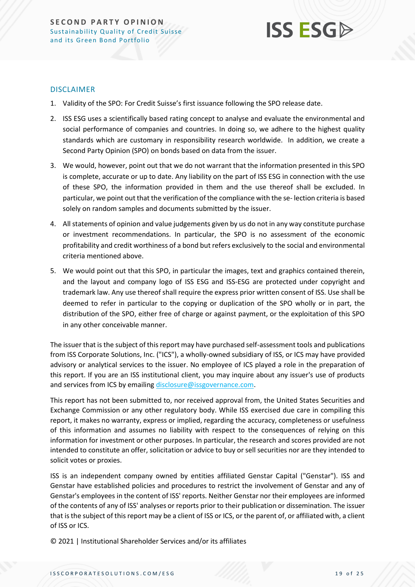# **ISS ESG**

#### DISCLAIMER

- 1. Validity of the SPO: For Credit Suisse's first issuance following the SPO release date.
- 2. ISS ESG uses a scientifically based rating concept to analyse and evaluate the environmental and social performance of companies and countries. In doing so, we adhere to the highest quality standards which are customary in responsibility research worldwide. In addition, we create a Second Party Opinion (SPO) on bonds based on data from the issuer.
- 3. We would, however, point out that we do not warrant that the information presented in this SPO is complete, accurate or up to date. Any liability on the part of ISS ESG in connection with the use of these SPO, the information provided in them and the use thereof shall be excluded. In particular, we point out that the verification of the compliance with the se- lection criteria is based solely on random samples and documents submitted by the issuer.
- 4. All statements of opinion and value judgements given by us do not in any way constitute purchase or investment recommendations. In particular, the SPO is no assessment of the economic profitability and credit worthiness of a bond but refers exclusively to the social and environmental criteria mentioned above.
- 5. We would point out that this SPO, in particular the images, text and graphics contained therein, and the layout and company logo of ISS ESG and ISS-ESG are protected under copyright and trademark law. Any use thereof shall require the express prior written consent of ISS. Use shall be deemed to refer in particular to the copying or duplication of the SPO wholly or in part, the distribution of the SPO, either free of charge or against payment, or the exploitation of this SPO in any other conceivable manner.

The issuer that is the subject of this report may have purchased self-assessment tools and publications from ISS Corporate Solutions, Inc. ("ICS"), a wholly-owned subsidiary of ISS, or ICS may have provided advisory or analytical services to the issuer. No employee of ICS played a role in the preparation of this report. If you are an ISS institutional client, you may inquire about any issuer's use of products and services from ICS by emailin[g disclosure@issgovernance.com.](mailto:disclosure@issgovernance.com)

This report has not been submitted to, nor received approval from, the United States Securities and Exchange Commission or any other regulatory body. While ISS exercised due care in compiling this report, it makes no warranty, express or implied, regarding the accuracy, completeness or usefulness of this information and assumes no liability with respect to the consequences of relying on this information for investment or other purposes. In particular, the research and scores provided are not intended to constitute an offer, solicitation or advice to buy or sell securities nor are they intended to solicit votes or proxies.

ISS is an independent company owned by entities affiliated Genstar Capital ("Genstar"). ISS and Genstar have established policies and procedures to restrict the involvement of Genstar and any of Genstar's employees in the content of ISS' reports. Neither Genstar nor their employees are informed of the contents of any of ISS' analyses or reports prior to their publication or dissemination. The issuer that is the subject of this report may be a client of ISS or ICS, or the parent of, or affiliated with, a client of ISS or ICS.

© 2021 | Institutional Shareholder Services and/or its affiliates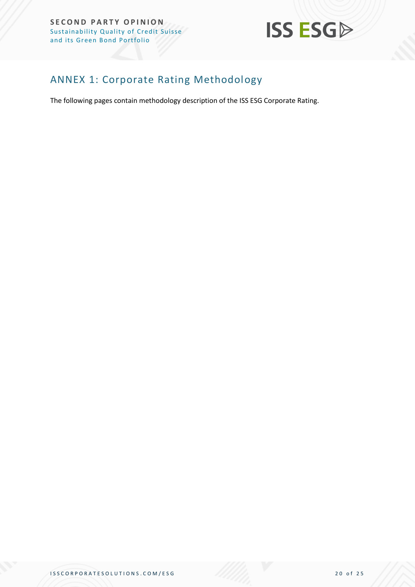

# <span id="page-19-0"></span>ANNEX 1: Corporate Rating Methodology

The following pages contain methodology description of the ISS ESG Corporate Rating.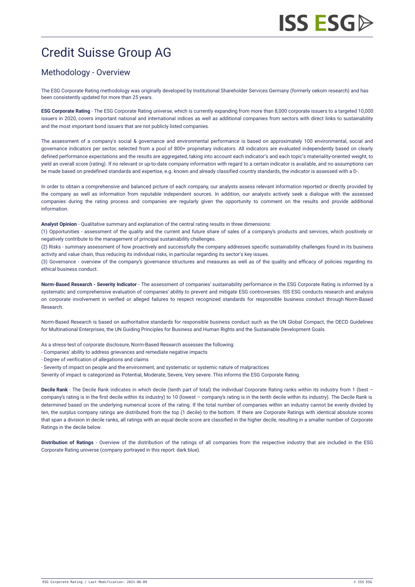# Credit Suisse Group AG

# Methodology - Overview

The ESG Corporate Rating methodology was originally developed by Institutional Shareholder Services Germany (formerly oekom research) and has been consistently updated for more than 25 years.

**ESG Corporate Rating** - The ESG Corporate Rating universe, which is currently expanding from more than 8,000 corporate issuers to a targeted 10,000 issuers in 2020, covers important national and international indices as well as additional companies from sectors with direct links to sustainability and the most important bond issuers that are not publicly listed companies.

The assessment of a company's social & governance and environmental performance is based on approximately 100 environmental, social and governance indicators per sector, selected from a pool of 800+ proprietary indicators. All indicators are evaluated independently based on clearly defined performance expectations and the results are aggregated, taking into account each indicator's and each topic's materiality-oriented weight, to yield an overall score (rating). If no relevant or up-to-date company information with regard to a certain indicator is available, and no assumptions can be made based on predefined standards and expertise, e.g. known and already classified country standards, the indicator is assessed with a D-.

In order to obtain a comprehensive and balanced picture of each company, our analysts assess relevant information reported or directly provided by the company as well as information from reputable independent sources. In addition, our analysts actively seek a dialogue with the assessed companies during the rating process and companies are regularly given the opportunity to comment on the results and provide additional information.

**Analyst Opinion** - Qualitative summary and explanation of the central rating results in three dimensions:

(1) Opportunities - assessment of the quality and the current and future share of sales of a company's products and services, which positively or negatively contribute to the management of principal sustainability challenges.

(2) Risks - summary assessment of how proactively and successfully the company addresses specific sustainability challenges found in its business activity and value chain, thus reducing its individual risks, in particular regarding its sector's key issues.

(3) Governance - overview of the company's governance structures and measures as well as of the quality and efficacy of policies regarding its ethical business conduct.

**Norm-Based Research - Severity Indicator** - The assessment of companies' sustainability performance in the ESG Corporate Rating is informed by a systematic and comprehensive evaluation of companies' ability to prevent and mitigate ESG controversies. ISS ESG conducts research and analysis on corporate involvement in verified or alleged failures to respect recognized standards for responsible business conduct through [Norm-Based](https://www.issgovernance.com/esg/screening/esg-screening-solutions/#nbr_techdoc_download) Research.

Norm-Based Research is based on authoritative standards for responsible business conduct such as the UN Global Compact, the OECD Guidelines for Multinational Enterprises, the UN Guiding Principles for Business and Human Rights and the Sustainable Development Goals.

As a stress-test of corporate disclosure, Norm-Based Research assesses the following:

- Companies' ability to address grievances and remediate negative impacts
- Degree of verification of allegations and claims
- Severity of impact on people and the environment, and systematic or systemic nature of malpractices
- Severity of impact is categorized as Potential, Moderate, Severe, Very severe. This informs the ESG Corporate Rating.

**Decile Rank** - The Decile Rank indicates in which decile (tenth part of total) the individual Corporate Rating ranks within its industry from 1 (best – company's rating is in the first decile within its industry) to 10 (lowest – company's rating is in the tenth decile within its industry). The Decile Rank is determined based on the underlying numerical score of the rating. If the total number of companies within an industry cannot be evenly divided by ten, the surplus company ratings are distributed from the top (1 decile) to the bottom. If there are Corporate Ratings with identical absolute scores that span a division in decile ranks, all ratings with an equal decile score are classified in the higher decile, resulting in a smaller number of Corporate Ratings in the decile below.

**Distribution of Ratings** - Overview of the distribution of the ratings of all companies from the respective industry that are included in the ESG Corporate Rating universe (company portrayed in this report: dark blue).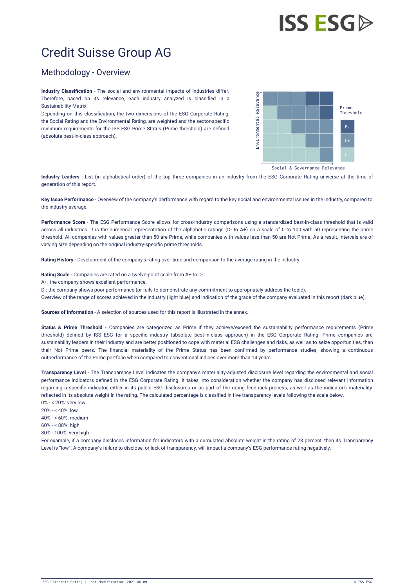# Credit Suisse Group AG

### Methodology - Overview

**Industry Classification** - The social and environmental impacts of industries differ. Therefore, based on its relevance, each industry analyzed is classified in a Sustainability Matrix.

Depending on this classification, the two dimensions of the ESG Corporate Rating, the Social Rating and the Environmental Rating, are weighted and the sector-specific minimum requirements for the ISS ESG Prime Status (Prime threshold) are defined (absolute best-in-class approach).



Social & Governance Relevance

**Industry Leaders** - List (in alphabetical order) of the top three companies in an industry from the ESG Corporate Rating universe at the time of generation of this report.

**Key Issue Performance** - Overview of the company's performance with regard to the key social and environmental issues in the industry, compared to the industry average.

**Performance Score** - The ESG Performance Score allows for cross-industry comparisons using a standardized best-in-class threshold that is valid across all industries. It is the numerical representation of the alphabetic ratings (D- to A+) on a scale of 0 to 100 with 50 representing the prime threshold. All companies with values greater than 50 are Prime, while companies with values less than 50 are Not Prime. As a result, intervals are of varying size depending on the original industry-specific prime thresholds.

**Rating History** - Development of the company's rating over time and comparison to the average rating in the industry.

**Rating Scale** - Companies are rated on a twelve-point scale from A+ to D-:

A+: the company shows excellent performance.

D-: the company shows poor performance (or fails to demonstrate any commitment to appropriately address the topic).

Overview of the range of scores achieved in the industry (light blue) and indication of the grade of the company evaluated in this report (dark blue).

**Sources of Information** - A selection of sources used for this report is illustrated in the annex.

**Status & Prime Threshold** - Companies are categorized as Prime if they achieve/exceed the sustainability performance requirements (Prime threshold) defined by ISS ESG for a specific industry (absolute best-in-class approach) in the ESG Corporate Rating. Prime companies are sustainability leaders in their industry and are better positioned to cope with material ESG challenges and risks, as well as to seize opportunities, than their Not Prime peers. The financial materiality of the Prime Status has been confirmed by performance studies, showing a continuous outperformance of the Prime portfolio when compared to conventional indices over more than 14 years.

**Transparency Level** - The Transparency Level indicates the company's materiality-adjusted disclosure level regarding the environmental and social performance indicators defined in the ESG Corporate Rating. It takes into consideration whether the company has disclosed relevant information regarding a specific indicator, either in its public ESG disclosures or as part of the rating feedback process, as well as the indicator's materiality reflected in its absolute weight in the rating. The calculated percentage is classified in five transparency levels following the scale below. 0% - < 20%: very low

20% - < 40%: low

40% - < 60%: medium

- $60% 69%$  high
- 80% 100%: very high

For example, if a company discloses information for indicators with a cumulated absolute weight in the rating of 23 percent, then its Transparency Level is "low". A company's failure to disclose, or lack of transparency, will impact a company's ESG performance rating negatively.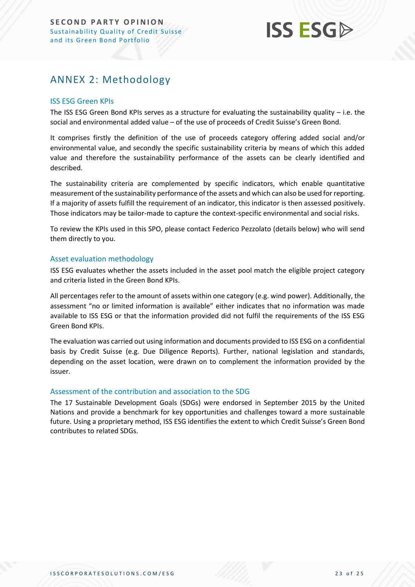# **ISS ESG**

# <span id="page-22-0"></span>ANNEX 2: Methodology

#### ISS ESG Green KPIs

The ISS ESG Green Bond KPIs serves as a structure for evaluating the sustainability quality – i.e. the social and environmental added value – of the use of proceeds of Credit Suisse's Green Bond.

It comprises firstly the definition of the use of proceeds category offering added social and/or environmental value, and secondly the specific sustainability criteria by means of which this added value and therefore the sustainability performance of the assets can be clearly identified and described.

The sustainability criteria are complemented by specific indicators, which enable quantitative measurement of the sustainability performance of the assets and which can also be used for reporting. If a majority of assets fulfill the requirement of an indicator, this indicator is then assessed positively. Those indicators may be tailor-made to capture the context-specific environmental and social risks.

To review the KPIs used in this SPO, please contact Federico Pezzolato (details below) who will send them directly to you.

#### Asset evaluation methodology

ISS ESG evaluates whether the assets included in the asset pool match the eligible project category and criteria listed in the Green Bond KPIs.

All percentages refer to the amount of assets within one category (e.g. wind power). Additionally, the assessment "no or limited information is available" either indicates that no information was made available to ISS ESG or that the information provided did not fulfil the requirements of the ISS ESG Green Bond KPIs.

The evaluation was carried out using information and documents provided to ISS ESG on a confidential basis by Credit Suisse (e.g. Due Diligence Reports). Further, national legislation and standards, depending on the asset location, were drawn on to complement the information provided by the issuer.

#### Assessment of the contribution and association to the SDG

The 17 Sustainable Development Goals (SDGs) were endorsed in September 2015 by the United Nations and provide a benchmark for key opportunities and challenges toward a more sustainable future. Using a proprietary method, ISS ESG identifies the extent to which Credit Suisse's Green Bond contributes to related SDGs.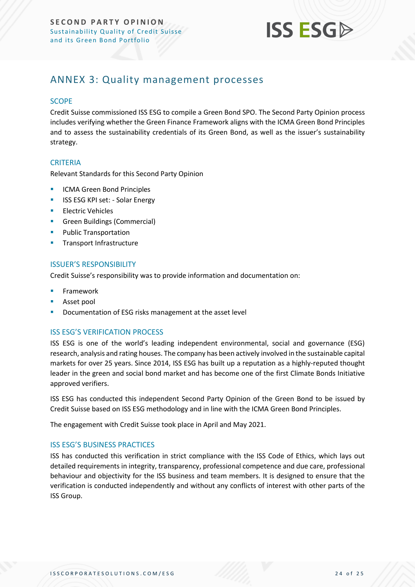

# <span id="page-23-0"></span>ANNEX 3: Quality management processes

#### **SCOPE**

Credit Suisse commissioned ISS ESG to compile a Green Bond SPO. The Second Party Opinion process includes verifying whether the Green Finance Framework aligns with the ICMA Green Bond Principles and to assess the sustainability credentials of its Green Bond, as well as the issuer's sustainability strategy.

#### **CRITERIA**

Relevant Standards for this Second Party Opinion

- ICMA Green Bond Principles
- **EXECUTE: ISS ESG KPI set: Solar Energy**
- Electric Vehicles
- **•** Green Buildings (Commercial)
- Public Transportation
- **■** Transport Infrastructure

#### ISSUER'S RESPONSIBILITY

Credit Suisse's responsibility was to provide information and documentation on:

- **Framework**
- Asset pool
- Documentation of ESG risks management at the asset level

#### ISS ESG'S VERIFICATION PROCESS

ISS ESG is one of the world's leading independent environmental, social and governance (ESG) research, analysis and rating houses. The company has been actively involved in the sustainable capital markets for over 25 years. Since 2014, ISS ESG has built up a reputation as a highly-reputed thought leader in the green and social bond market and has become one of the first Climate Bonds Initiative approved verifiers.

ISS ESG has conducted this independent Second Party Opinion of the Green Bond to be issued by Credit Suisse based on ISS ESG methodology and in line with the ICMA Green Bond Principles.

The engagement with Credit Suisse took place in April and May 2021.

#### ISS ESG'S BUSINESS PRACTICES

ISS has conducted this verification in strict compliance with the ISS Code of Ethics, which lays out detailed requirements in integrity, transparency, professional competence and due care, professional behaviour and objectivity for the ISS business and team members. It is designed to ensure that the verification is conducted independently and without any conflicts of interest with other parts of the ISS Group.